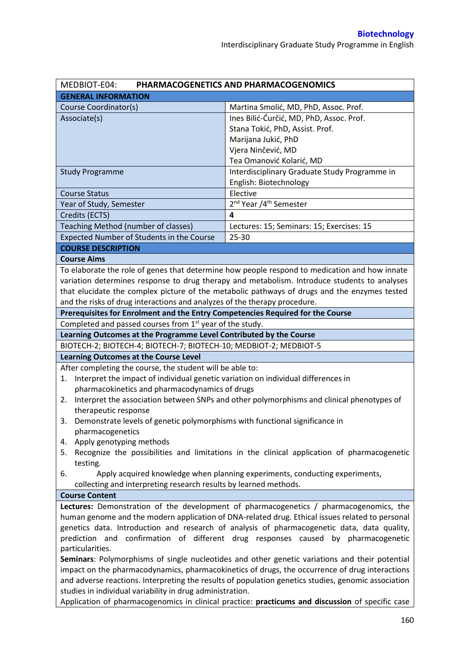| MEDBIOT-E04:<br>PHARMACOGENETICS AND PHARMACOGENOMICS                                                                                                                                            |                                                                                                     |  |
|--------------------------------------------------------------------------------------------------------------------------------------------------------------------------------------------------|-----------------------------------------------------------------------------------------------------|--|
| <b>GENERAL INFORMATION</b>                                                                                                                                                                       |                                                                                                     |  |
| Course Coordinator(s)                                                                                                                                                                            | Martina Smolić, MD, PhD, Assoc. Prof.                                                               |  |
| Associate(s)                                                                                                                                                                                     | Ines Bilić-Ćurčić, MD, PhD, Assoc. Prof.                                                            |  |
|                                                                                                                                                                                                  | Stana Tokić, PhD, Assist. Prof.                                                                     |  |
|                                                                                                                                                                                                  | Marijana Jukić, PhD                                                                                 |  |
|                                                                                                                                                                                                  | Vjera Ninčević, MD                                                                                  |  |
|                                                                                                                                                                                                  | Tea Omanović Kolarić, MD                                                                            |  |
| <b>Study Programme</b>                                                                                                                                                                           | Interdisciplinary Graduate Study Programme in                                                       |  |
|                                                                                                                                                                                                  | English: Biotechnology                                                                              |  |
| <b>Course Status</b>                                                                                                                                                                             | Elective                                                                                            |  |
| Year of Study, Semester                                                                                                                                                                          | 2 <sup>nd</sup> Year /4 <sup>th</sup> Semester                                                      |  |
| Credits (ECTS)                                                                                                                                                                                   | $\overline{\mathbf{4}}$                                                                             |  |
| Teaching Method (number of classes)                                                                                                                                                              | Lectures: 15; Seminars: 15; Exercises: 15                                                           |  |
| Expected Number of Students in the Course                                                                                                                                                        | 25-30                                                                                               |  |
| <b>COURSE DESCRIPTION</b>                                                                                                                                                                        |                                                                                                     |  |
| <b>Course Aims</b>                                                                                                                                                                               |                                                                                                     |  |
|                                                                                                                                                                                                  | To elaborate the role of genes that determine how people respond to medication and how innate       |  |
|                                                                                                                                                                                                  | variation determines response to drug therapy and metabolism. Introduce students to analyses        |  |
|                                                                                                                                                                                                  | that elucidate the complex picture of the metabolic pathways of drugs and the enzymes tested        |  |
| and the risks of drug interactions and analyzes of the therapy procedure.                                                                                                                        |                                                                                                     |  |
| Prerequisites for Enrolment and the Entry Competencies Required for the Course                                                                                                                   |                                                                                                     |  |
| Completed and passed courses from 1 <sup>st</sup> year of the study.                                                                                                                             |                                                                                                     |  |
| Learning Outcomes at the Programme Level Contributed by the Course                                                                                                                               |                                                                                                     |  |
| BIOTECH-2; BIOTECH-4; BIOTECH-7; BIOTECH-10; MEDBIOT-2; MEDBIOT-5                                                                                                                                |                                                                                                     |  |
| <b>Learning Outcomes at the Course Level</b>                                                                                                                                                     |                                                                                                     |  |
| After completing the course, the student will be able to:                                                                                                                                        |                                                                                                     |  |
| Interpret the impact of individual genetic variation on individual differences in<br>1.                                                                                                          |                                                                                                     |  |
| pharmacokinetics and pharmacodynamics of drugs                                                                                                                                                   |                                                                                                     |  |
| 2.                                                                                                                                                                                               | Interpret the association between SNPs and other polymorphisms and clinical phenotypes of           |  |
| therapeutic response                                                                                                                                                                             |                                                                                                     |  |
| Demonstrate levels of genetic polymorphisms with functional significance in<br>3.                                                                                                                |                                                                                                     |  |
| pharmacogenetics                                                                                                                                                                                 |                                                                                                     |  |
| Apply genotyping methods<br>4.                                                                                                                                                                   |                                                                                                     |  |
| 5.                                                                                                                                                                                               | Recognize the possibilities and limitations in the clinical application of pharmacogenetic          |  |
| testing.                                                                                                                                                                                         |                                                                                                     |  |
| 6.                                                                                                                                                                                               | Apply acquired knowledge when planning experiments, conducting experiments,                         |  |
| collecting and interpreting research results by learned methods.                                                                                                                                 |                                                                                                     |  |
| <b>Course Content</b>                                                                                                                                                                            |                                                                                                     |  |
| Lectures: Demonstration of the development of pharmacogenetics / pharmacogenomics, the                                                                                                           |                                                                                                     |  |
| human genome and the modern application of DNA-related drug. Ethical issues related to personal                                                                                                  |                                                                                                     |  |
| genetics data. Introduction and research of analysis of pharmacogenetic data, data quality,                                                                                                      |                                                                                                     |  |
| prediction and confirmation of different drug responses caused by pharmacogenetic                                                                                                                |                                                                                                     |  |
| particularities.                                                                                                                                                                                 |                                                                                                     |  |
| Seminars: Polymorphisms of single nucleotides and other genetic variations and their potential<br>impact on the pharmacodynamics, pharmacokinetics of drugs, the occurrence of drug interactions |                                                                                                     |  |
|                                                                                                                                                                                                  |                                                                                                     |  |
|                                                                                                                                                                                                  | and adverse reactions. Interpreting the results of population genetics studies, genomic association |  |
| studies in individual variability in drug administration.                                                                                                                                        |                                                                                                     |  |
| Application of pharmacogenomics in clinical practice: practicums and discussion of specific case                                                                                                 |                                                                                                     |  |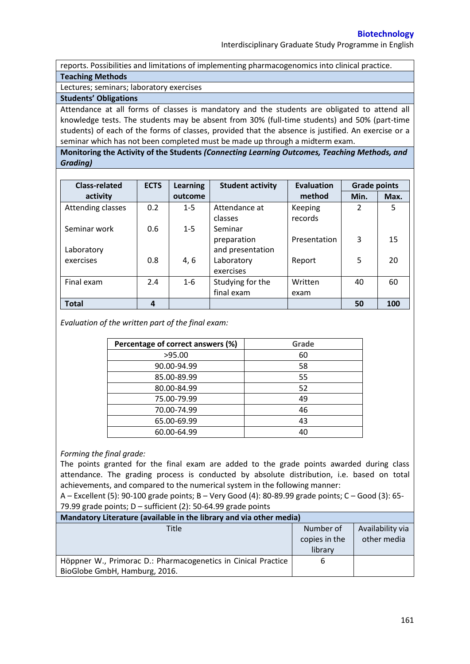reports. Possibilities and limitations of implementing pharmacogenomics into clinical practice. **Teaching Methods**

Lectures; seminars; laboratory exercises

## **Students' Obligations**

Attendance at all forms of classes is mandatory and the students are obligated to attend all knowledge tests. The students may be absent from 30% (full-time students) and 50% (part-time students) of each of the forms of classes, provided that the absence is justified. An exercise or a seminar which has not been completed must be made up through a midterm exam.

**Monitoring the Activity of the Students** *(Connecting Learning Outcomes, Teaching Methods, and Grading)*

| <b>Class-related</b> | <b>ECTS</b> | <b>Learning</b> | <b>Student activity</b> | <b>Evaluation</b> | <b>Grade points</b> |      |
|----------------------|-------------|-----------------|-------------------------|-------------------|---------------------|------|
| activity             |             | outcome         |                         | method            | Min.                | Max. |
| Attending classes    | 0.2         | $1 - 5$         | Attendance at           | Keeping           | $\overline{2}$      | 5    |
|                      |             |                 | classes                 | records           |                     |      |
| Seminar work         | 0.6         | $1 - 5$         | Seminar                 |                   |                     |      |
|                      |             |                 | preparation             | Presentation      | 3                   | 15   |
| Laboratory           |             |                 | and presentation        |                   |                     |      |
| exercises            | 0.8         | 4, 6            | Laboratory              | Report            | 5                   | 20   |
|                      |             |                 | exercises               |                   |                     |      |
| Final exam           | 2.4         | $1 - 6$         | Studying for the        | Written           | 40                  | 60   |
|                      |             |                 | final exam              | exam              |                     |      |
| <b>Total</b>         | 4           |                 |                         |                   | 50                  | 100  |

*Evaluation of the written part of the final exam:*

| Percentage of correct answers (%) | Grade |
|-----------------------------------|-------|
| >95.00                            | 60    |
| 90.00-94.99                       | 58    |
| 85.00-89.99                       | 55    |
| 80.00-84.99                       | 52    |
| 75.00-79.99                       | 49    |
| 70.00-74.99                       | 46    |
| 65.00-69.99                       | 43    |
| 60.00-64.99                       |       |

## *Forming the final grade:*

The points granted for the final exam are added to the grade points awarded during class attendance. The grading process is conducted by absolute distribution, i.e. based on total achievements, and compared to the numerical system in the following manner:

A – Excellent (5): 90-100 grade points; B – Very Good (4): 80-89.99 grade points; C – Good (3): 65- 79.99 grade points; D – sufficient (2): 50-64.99 grade points

| Mandatory Literature (available in the library and via other media) |               |                  |  |  |
|---------------------------------------------------------------------|---------------|------------------|--|--|
| Title                                                               | Number of     | Availability via |  |  |
|                                                                     | copies in the | other media      |  |  |
|                                                                     | library       |                  |  |  |
| Höppner W., Primorac D.: Pharmacogenetics in Cinical Practice       | 6             |                  |  |  |
| BioGlobe GmbH, Hamburg, 2016.                                       |               |                  |  |  |